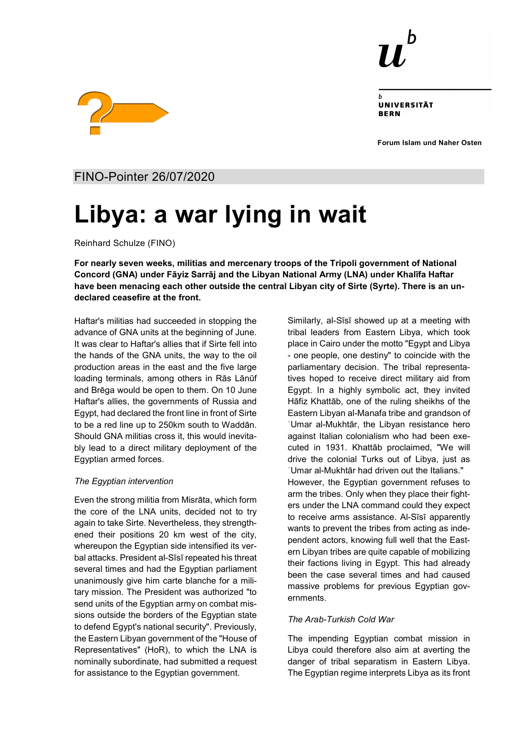

UNIVERSITÄT **RERN** 

**Forum Islam und Naher Osten**



FINO-Pointer 26/07/2020

# **Libya: a war lying in wait**

Reinhard Schulze (FINO)

**For nearly seven weeks, militias and mercenary troops of the Tripoli government of National Concord (GNA) under Fāyiz Sarrāj and the Libyan National Army (LNA) under Khalīfa Haftar have been menacing each other outside the central Libyan city of Sirte (Syrte). There is an undeclared ceasefire at the front.**

Haftar's militias had succeeded in stopping the advance of GNA units at the beginning of June. It was clear to Haftar's allies that if Sirte fell into the hands of the GNA units, the way to the oil production areas in the east and the five large loading terminals, among others in Rās Lānūf and Brēga would be open to them. On 10 June Haftar's allies, the governments of Russia and Egypt, had declared the front line in front of Sirte to be a red line up to 250km south to Waddān. Should GNA militias cross it, this would inevitably lead to a direct military deployment of the Egyptian armed forces.

### *The Egyptian intervention*

Even the strong militia from Misrāta, which form the core of the LNA units, decided not to try again to take Sirte. Nevertheless, they strengthened their positions 20 km west of the city, whereupon the Egyptian side intensified its verbal attacks. President al-Sīsī repeated his threat several times and had the Egyptian parliament unanimously give him carte blanche for a military mission. The President was authorized "to send units of the Egyptian army on combat missions outside the borders of the Egyptian state to defend Egypt's national security". Previously, the Eastern Libyan government of the "House of Representatives" (HoR), to which the LNA is nominally subordinate, had submitted a request for assistance to the Egyptian government.

Similarly, al-Sīsī showed up at a meeting with tribal leaders from Eastern Libya, which took place in Cairo under the motto "Egypt and Libya - one people, one destiny" to coincide with the parliamentary decision. The tribal representatives hoped to receive direct military aid from Egypt. In a highly symbolic act, they invited Hāfiz Khattāb, one of the ruling sheikhs of the Eastern Libyan al-Manafa tribe and grandson of ʿUmar al-Mukhtār, the Libyan resistance hero against Italian colonialism who had been executed in 1931. Khattāb proclaimed, "We will drive the colonial Turks out of Libya, just as ʿUmar al-Mukhtār had driven out the Italians." However, the Egyptian government refuses to arm the tribes. Only when they place their fighters under the LNA command could they expect to receive arms assistance. Al-Sīsī apparently wants to prevent the tribes from acting as independent actors, knowing full well that the Eastern Libyan tribes are quite capable of mobilizing their factions living in Egypt. This had already been the case several times and had caused massive problems for previous Egyptian governments.

## *The Arab-Turkish Cold War*

The impending Egyptian combat mission in Libya could therefore also aim at averting the danger of tribal separatism in Eastern Libya. The Egyptian regime interprets Libya as its front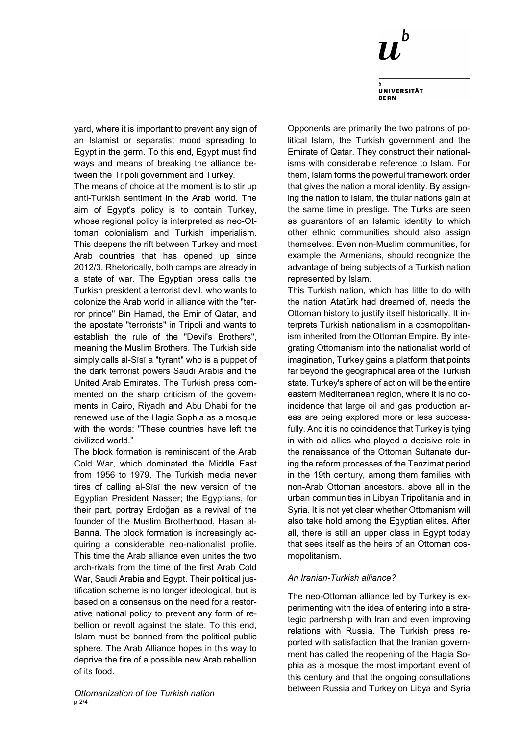

**UNIVERSITÄT BERN** 

yard, where it is important to prevent any sign of an Islamist or separatist mood spreading to Egypt in the germ. To this end, Egypt must find ways and means of breaking the alliance between the Tripoli government and Turkey.

The means of choice at the moment is to stir up anti-Turkish sentiment in the Arab world. The aim of Egypt's policy is to contain Turkey, whose regional policy is interpreted as neo-Ottoman colonialism and Turkish imperialism. This deepens the rift between Turkey and most Arab countries that has opened up since 2012/3. Rhetorically, both camps are already in a state of war. The Egyptian press calls the Turkish president a terrorist devil, who wants to colonize the Arab world in alliance with the "terror prince" Bin Hamad, the Emir of Qatar, and the apostate "terrorists" in Tripoli and wants to establish the rule of the "Devil's Brothers", meaning the Muslim Brothers. The Turkish side simply calls al-Sīsī a "tyrant" who is a puppet of the dark terrorist powers Saudi Arabia and the United Arab Emirates. The Turkish press commented on the sharp criticism of the governments in Cairo, Riyadh and Abu Dhabi for the renewed use of the Hagia Sophia as a mosque with the words: "These countries have left the civilized world."

The block formation is reminiscent of the Arab Cold War, which dominated the Middle East from 1956 to 1979. The Turkish media never tires of calling al-Sīsī the new version of the Egyptian President Nasser; the Egyptians, for their part, portray Erdoğan as a revival of the founder of the Muslim Brotherhood, Hasan al-Bannā. The block formation is increasingly acquiring a considerable neo-nationalist profile. This time the Arab alliance even unites the two arch-rivals from the time of the first Arab Cold War, Saudi Arabia and Egypt. Their political justification scheme is no longer ideological, but is based on a consensus on the need for a restorative national policy to prevent any form of rebellion or revolt against the state. To this end, Islam must be banned from the political public sphere. The Arab Alliance hopes in this way to deprive the fire of a possible new Arab rebellion of its food.

Opponents are primarily the two patrons of political Islam, the Turkish government and the Emirate of Qatar. They construct their nationalisms with considerable reference to Islam. For them, Islam forms the powerful framework order that gives the nation a moral identity. By assigning the nation to Islam, the titular nations gain at the same time in prestige. The Turks are seen as guarantors of an Islamic identity to which other ethnic communities should also assign themselves. Even non-Muslim communities, for example the Armenians, should recognize the advantage of being subjects of a Turkish nation represented by Islam.

This Turkish nation, which has little to do with the nation Atatürk had dreamed of, needs the Ottoman history to justify itself historically. It interprets Turkish nationalism in a cosmopolitanism inherited from the Ottoman Empire. By integrating Ottomanism into the nationalist world of imagination, Turkey gains a platform that points far beyond the geographical area of the Turkish state. Turkey's sphere of action will be the entire eastern Mediterranean region, where it is no coincidence that large oil and gas production areas are being explored more or less successfully. And it is no coincidence that Turkey is tying in with old allies who played a decisive role in the renaissance of the Ottoman Sultanate during the reform processes of the Tanzimat period in the 19th century, among them families with non-Arab Ottoman ancestors, above all in the urban communities in Libyan Tripolitania and in Syria. It is not yet clear whether Ottomanism will also take hold among the Egyptian elites. After all, there is still an upper class in Egypt today that sees itself as the heirs of an Ottoman cosmopolitanism.

#### *An Iranian-Turkish alliance?*

The neo-Ottoman alliance led by Turkey is experimenting with the idea of entering into a strategic partnership with Iran and even improving relations with Russia. The Turkish press reported with satisfaction that the Iranian government has called the reopening of the Hagia Sophia as a mosque the most important event of this century and that the ongoing consultations between Russia and Turkey on Libya and Syria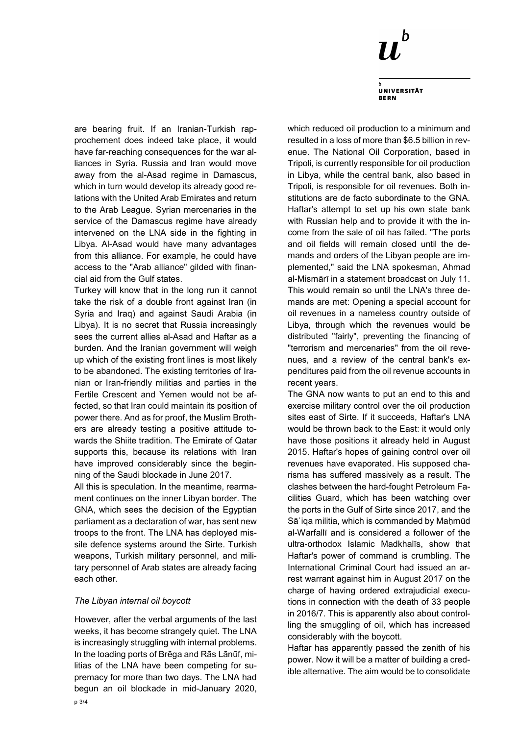

**UNIVERSITÄT BERN** 

are bearing fruit. If an Iranian-Turkish rapprochement does indeed take place, it would have far-reaching consequences for the war alliances in Syria. Russia and Iran would move away from the al-Asad regime in Damascus, which in turn would develop its already good relations with the United Arab Emirates and return to the Arab League. Syrian mercenaries in the service of the Damascus regime have already intervened on the LNA side in the fighting in Libya. Al-Asad would have many advantages from this alliance. For example, he could have access to the "Arab alliance" gilded with financial aid from the Gulf states.

Turkey will know that in the long run it cannot take the risk of a double front against Iran (in Syria and Iraq) and against Saudi Arabia (in Libya). It is no secret that Russia increasingly sees the current allies al-Asad and Haftar as a burden. And the Iranian government will weigh up which of the existing front lines is most likely to be abandoned. The existing territories of Iranian or Iran-friendly militias and parties in the Fertile Crescent and Yemen would not be affected, so that Iran could maintain its position of power there. And as for proof, the Muslim Brothers are already testing a positive attitude towards the Shiite tradition. The Emirate of Qatar supports this, because its relations with Iran have improved considerably since the beginning of the Saudi blockade in June 2017.

All this is speculation. In the meantime, rearmament continues on the inner Libyan border. The GNA, which sees the decision of the Egyptian parliament as a declaration of war, has sent new troops to the front. The LNA has deployed missile defence systems around the Sirte. Turkish weapons, Turkish military personnel, and military personnel of Arab states are already facing each other.

#### *The Libyan internal oil boycott*

However, after the verbal arguments of the last weeks, it has become strangely quiet. The LNA is increasingly struggling with internal problems. In the loading ports of Brēga and Rās Lānūf, militias of the LNA have been competing for supremacy for more than two days. The LNA had begun an oil blockade in mid-January 2020, which reduced oil production to a minimum and resulted in a loss of more than \$6.5 billion in revenue. The National Oil Corporation, based in Tripoli, is currently responsible for oil production in Libya, while the central bank, also based in Tripoli, is responsible for oil revenues. Both institutions are de facto subordinate to the GNA. Haftar's attempt to set up his own state bank with Russian help and to provide it with the income from the sale of oil has failed. "The ports and oil fields will remain closed until the demands and orders of the Libyan people are implemented," said the LNA spokesman, Ahmad al-Mismārī in a statement broadcast on July 11. This would remain so until the LNA's three demands are met: Opening a special account for oil revenues in a nameless country outside of Libya, through which the revenues would be distributed "fairly", preventing the financing of "terrorism and mercenaries" from the oil revenues, and a review of the central bank's expenditures paid from the oil revenue accounts in recent years.

The GNA now wants to put an end to this and exercise military control over the oil production sites east of Sirte. If it succeeds, Haftar's LNA would be thrown back to the East: it would only have those positions it already held in August 2015. Haftar's hopes of gaining control over oil revenues have evaporated. His supposed charisma has suffered massively as a result. The clashes between the hard-fought Petroleum Facilities Guard, which has been watching over the ports in the Gulf of Sirte since 2017, and the Sāʿiqa militia, which is commanded by Mahmūd al-Warfallī and is considered a follower of the ultra-orthodox Islamic Madkhalīs, show that Haftar's power of command is crumbling. The International Criminal Court had issued an arrest warrant against him in August 2017 on the charge of having ordered extrajudicial executions in connection with the death of 33 people in 2016/7. This is apparently also about controlling the smuggling of oil, which has increased considerably with the boycott.

Haftar has apparently passed the zenith of his power. Now it will be a matter of building a credible alternative. The aim would be to consolidate